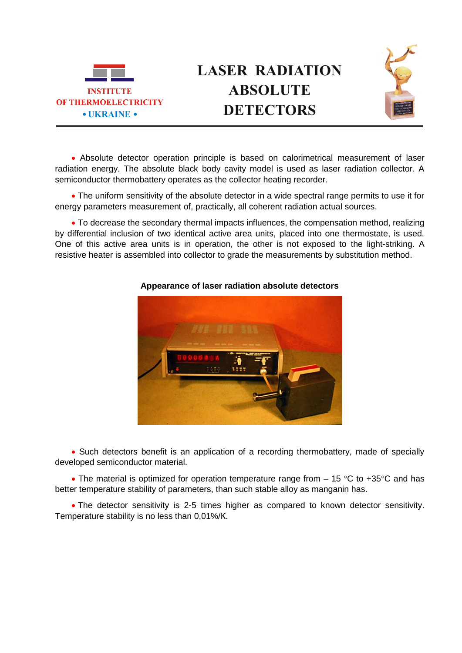



 Absolute detector operation principle is based on calorimetrical measurement of laser radiation energy. The absolute black body cavity model is used as laser radiation collector. A semiconductor thermobattery operates as the collector heating recorder.

 The uniform sensitivity of the absolute detector in a wide spectral range permits to use it for energy parameters measurement of, practically, all coherent radiation actual sources.

 To decrease the secondary thermal impacts influences, the compensation method, realizing by differential inclusion of two identical active area units, placed into one thermostate, is used. One of this active area units is in operation, the other is not exposed to the light-striking. A resistive heater is assembled into collector to grade the measurements by substitution method.



## **Appearance of laser radiation absolute detectors**

 Such detectors benefit is an application of a recording thermobattery, made of specially developed semiconductor material.

• The material is optimized for operation temperature range from  $-15$  °C to +35°C and has better temperature stability of parameters, than such stable alloy as manganin has.

 The detector sensitivity is 2-5 times higher as compared to known detector sensitivity. Temperature stability is no less than 0,01%/К.